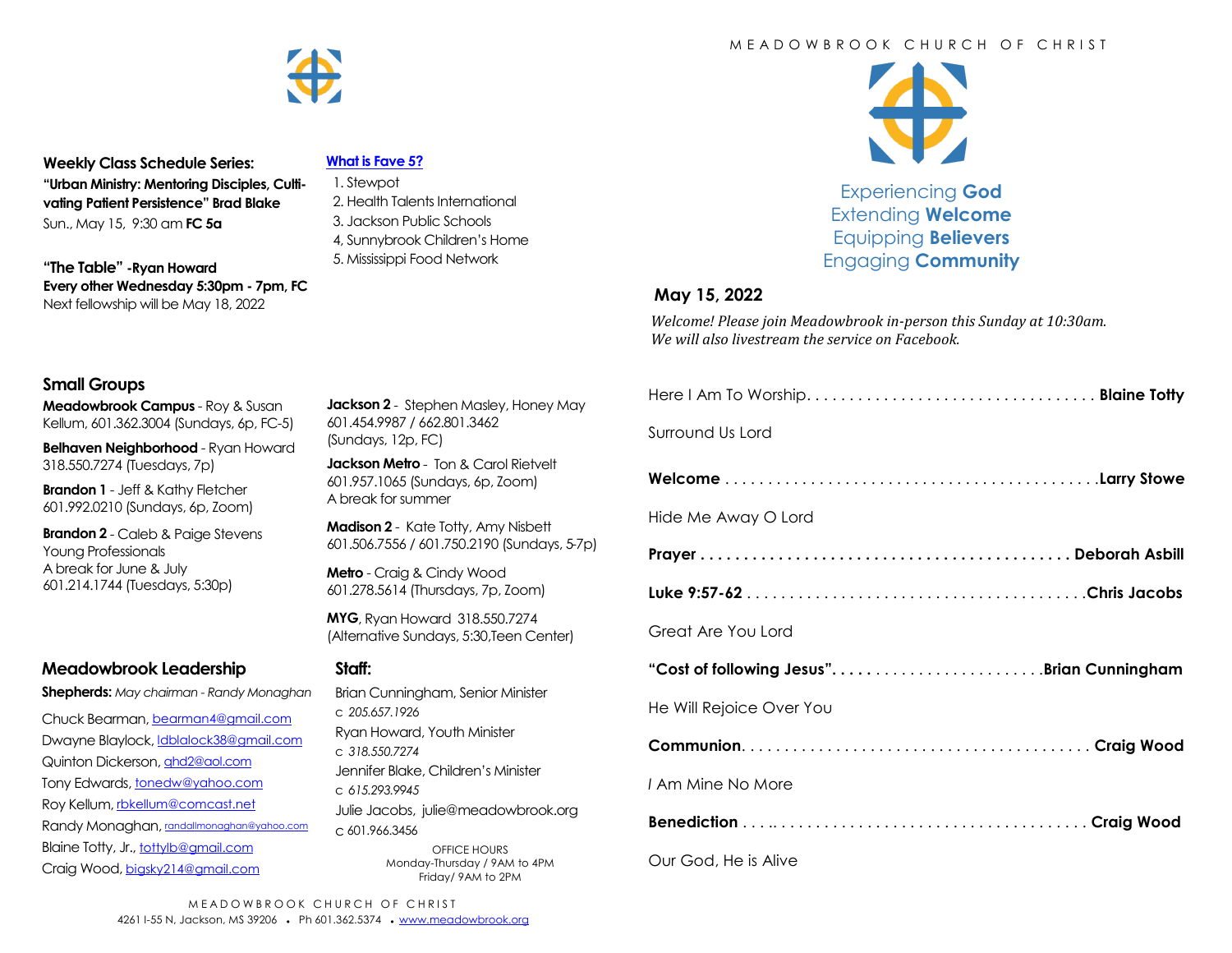

**Weekly Class Schedule Series: "Urban Ministry: Mentoring Disciples, Cultivating Patient Persistence" Brad Blake** Sun., May 15, 9:30 am **FC 5a**

**"The Table" -Ryan Howard Every other Wednesday 5:30pm - 7pm, FC** Next fellowship will be May 18, 2022

#### **[What is Fave 5?](https://meadowbrook.ccbchurch.com/group_detail.php?group_id=131)**

- 1. Stewpot 2. Health Talents International 3. Jackson Public Schools
- 4, Sunnybrook Children's Home
- 5. Mississippi Food Network

#### M F A D O W B R O O K C H U R C H O F C H R I S T



Experiencing **God** Extending **Welcome** Equipping **Believers** Engaging **Community**

### **May 15, 2022**

*Welcome! Please join Meadowbrook in-person this Sunday at 10:30am. We will also livestream the service on Facebook.*

### **Small Groups**

**Meadowbrook Campus** - Roy & Susan Kellum, 601.362.3004 (Sundays, 6p, FC-5)

**Belhaven Neighborhood** - Ryan Howard 318.550.7274 (Tuesdays, 7p)

**Brandon 1** - Jeff & Kathy Fletcher 601.992.0210 (Sundays, 6p, Zoom)

**Brandon 2** - Caleb & Paige Stevens Young Professionals A break for June & July 601.214.1744 (Tuesdays, 5:30p)

## **Meadowbrook Leadership**

**Shepherds:** *May chairman - Randy Monaghan*

Chuck Bearman, [bearman4@gmail.com](mailto:bearman4@gmail.com) Dwayne Blaylock, *dblalock38@gmail.com* Quinton Dickerson, [qhd2@aol.com](mailto:qhd2@aol.com) Tony Edwards, [tonedw@yahoo.com](mailto:tonedw@yahoo.com) Roy Kellum, [rbkellum@comcast.net](mailto:rbkellum@comcast.net) Randy Monaghan, [randallmonaghan@yahoo.com](mailto:randallmonaghan@yahoo.com) Blaine Totty, Jr., [tottylb@gmail.com](mailto:tottylb@gmail.com) Craig Wood, [bigsky214@gmail.com](mailto:bigsky214@gmail.com)

**Jackson 2** - Stephen Masley, Honey May 601.454.9987 / 662.801.3462 (Sundays, 12p, FC)

**Jackson Metro** - Ton & Carol Rietvelt 601.957.1065 (Sundays, 6p, Zoom) A break for summer

**Madison 2** - Kate Totty, Amy Nisbett 601.506.7556 / 601.750.2190 (Sundays, 5-7p)

**Metro** - Craig & Cindy Wood 601.278.5614 (Thursdays, 7p, Zoom)

**MYG**, Ryan Howard 318.550.7274 (Alternative Sundays, 5:30,Teen Center)

### **Staff:**

Brian Cunningham, Senior Minister c *205.657.1926* Ryan Howard, Youth Minister c *318.550.7274* Jennifer Blake, Children's Minister c *615.293.9945* Julie Jacobs, julie@meadowbrook.org c 601.966.3456 OFFICE HOURS Monday-Thursday / 9AM to 4PM Friday/ 9AM to 2PM

| Surround Us Lord                          |
|-------------------------------------------|
|                                           |
| Hide Me Away O Lord                       |
|                                           |
|                                           |
| Great Are You Lord                        |
| "Cost of following Jesus"Brian Cunningham |
| He Will Rejoice Over You                  |
|                                           |
| I Am Mine No More                         |
|                                           |
| Our God, He is Alive                      |

MEADOWBROOK CHURCH OF CHRIST 4261 I-55 N, Jackson, MS 39206 • Ph 601.362.5374 • [www.meadowbrook.org](mailto:www.meadowbrook.org)